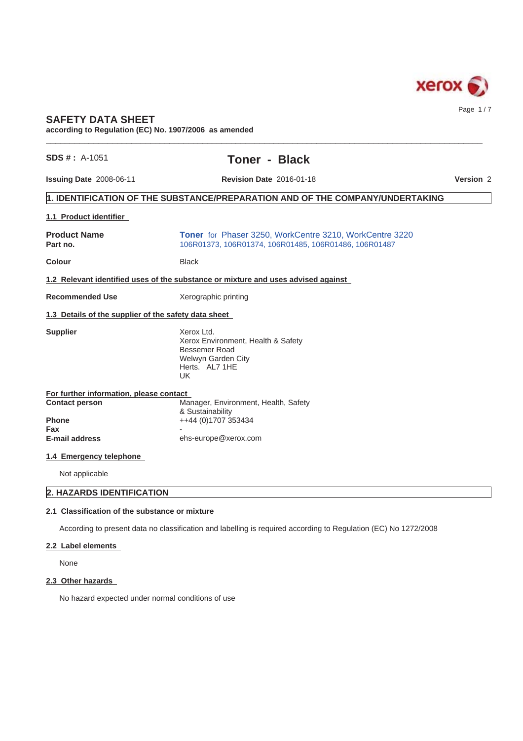

# **SAFETY DATA SHEET**

**according to Regulation (EC) No. 1907/2006 as amended**

| <b>SDS #: A-1051</b>                                 | <b>Toner - Black</b>                                                                                                   |           |
|------------------------------------------------------|------------------------------------------------------------------------------------------------------------------------|-----------|
| <b>Issuing Date 2008-06-11</b>                       | <b>Revision Date 2016-01-18</b>                                                                                        | Version 2 |
|                                                      | $\vert$ 1. IDENTIFICATION OF THE SUBSTANCE/PREPARATION AND OF THE COMPANY/UNDERTAKING                                  |           |
| 1.1 Product identifier                               |                                                                                                                        |           |
| <b>Product Name</b><br>Part no.                      | Toner for Phaser 3250, WorkCentre 3210, WorkCentre 3220<br>106R01373, 106R01374, 106R01485, 106R01486, 106R01487       |           |
| Colour                                               | <b>Black</b>                                                                                                           |           |
|                                                      | 1.2 Relevant identified uses of the substance or mixture and uses advised against                                      |           |
| <b>Recommended Use</b>                               | Xerographic printing                                                                                                   |           |
| 1.3 Details of the supplier of the safety data sheet |                                                                                                                        |           |
| <b>Supplier</b>                                      | Xerox Ltd.<br>Xerox Environment, Health & Safety<br><b>Bessemer Road</b><br>Welwyn Garden City<br>Herts. AL7 1HE<br>UK |           |
| For further information, please contact              |                                                                                                                        |           |
| <b>Contact person</b>                                | Manager, Environment, Health, Safety<br>& Sustainability                                                               |           |
| <b>Phone</b>                                         | ++44 (0)1707 353434                                                                                                    |           |
| Fax                                                  |                                                                                                                        |           |
| <b>E-mail address</b>                                | ehs-europe@xerox.com                                                                                                   |           |
| 1.4 Emergency telephone                              |                                                                                                                        |           |
| Not applicable                                       |                                                                                                                        |           |
| 2. HAZARDS IDENTIFICATION                            |                                                                                                                        |           |

 $\_$  ,  $\_$  ,  $\_$  ,  $\_$  ,  $\_$  ,  $\_$  ,  $\_$  ,  $\_$  ,  $\_$  ,  $\_$  ,  $\_$  ,  $\_$  ,  $\_$  ,  $\_$  ,  $\_$  ,  $\_$  ,  $\_$  ,  $\_$  ,  $\_$  ,  $\_$  ,  $\_$  ,  $\_$  ,  $\_$  ,  $\_$  ,  $\_$  ,  $\_$  ,  $\_$  ,  $\_$  ,  $\_$  ,  $\_$  ,  $\_$  ,  $\_$  ,  $\_$  ,  $\_$  ,  $\_$  ,  $\_$  ,  $\_$  ,

## **2.1 Classification of the substance or mixture**

According to present data no classification and labelling is required according to Regulation (EC) No 1272/2008

## **2.2 Label elements**

None

## **2.3 Other hazards**

No hazard expected under normal conditions of use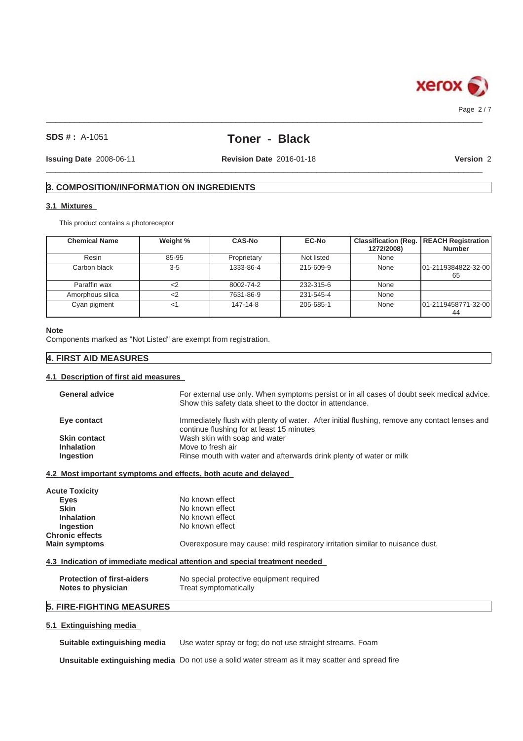

 $\_$  ,  $\_$  ,  $\_$  ,  $\_$  ,  $\_$  ,  $\_$  ,  $\_$  ,  $\_$  ,  $\_$  ,  $\_$  ,  $\_$  ,  $\_$  ,  $\_$  ,  $\_$  ,  $\_$  ,  $\_$  ,  $\_$  ,  $\_$  ,  $\_$  ,  $\_$  ,  $\_$  ,  $\_$  ,  $\_$  ,  $\_$  ,  $\_$  ,  $\_$  ,  $\_$  ,  $\_$  ,  $\_$  ,  $\_$  ,  $\_$  ,  $\_$  ,  $\_$  ,  $\_$  ,  $\_$  ,  $\_$  ,  $\_$  , Page 2 / 7

## **SDS # :** A-1051

# **Toner - Black**

**Issuing Date** 2008-06-11 **Revision Date** 2016-01-18

 $\_$  ,  $\_$  ,  $\_$  ,  $\_$  ,  $\_$  ,  $\_$  ,  $\_$  ,  $\_$  ,  $\_$  ,  $\_$  ,  $\_$  ,  $\_$  ,  $\_$  ,  $\_$  ,  $\_$  ,  $\_$  ,  $\_$  ,  $\_$  ,  $\_$  ,  $\_$  ,  $\_$  ,  $\_$  ,  $\_$  ,  $\_$  ,  $\_$  ,  $\_$  ,  $\_$  ,  $\_$  ,  $\_$  ,  $\_$  ,  $\_$  ,  $\_$  ,  $\_$  ,  $\_$  ,  $\_$  ,  $\_$  ,  $\_$  ,

**Version** 2

## **3. COMPOSITION/INFORMATION ON INGREDIENTS**

## **3.1 Mixtures**

This product contains a photoreceptor

| <b>Chemical Name</b> | Weight % | <b>CAS-No</b> | <b>EC-No</b> | 1272/2008) | <b>Classification (Reg.   REACH Registration)</b><br><b>Number</b> |
|----------------------|----------|---------------|--------------|------------|--------------------------------------------------------------------|
| Resin                | 85-95    | Proprietary   | Not listed   | None       |                                                                    |
| Carbon black         | $3 - 5$  | 1333-86-4     | 215-609-9    | None       | 101-2119384822-32-00<br>65                                         |
| Paraffin wax         |          | 8002-74-2     | 232-315-6    | None       |                                                                    |
| Amorphous silica     |          | 7631-86-9     | 231-545-4    | None       |                                                                    |
| Cyan pigment         |          | 147-14-8      | 205-685-1    | None       | 101-2119458771-32-00<br>44                                         |

#### **Note**

Components marked as "Not Listed" are exempt from registration.

## **4. FIRST AID MEASURES**

## **4.1 Description of first aid measures**

| <b>General advice</b> | For external use only. When symptoms persist or in all cases of doubt seek medical advice.<br>Show this safety data sheet to the doctor in attendance. |
|-----------------------|--------------------------------------------------------------------------------------------------------------------------------------------------------|
| Eye contact           | Immediately flush with plenty of water. After initial flushing, remove any contact lenses and<br>continue flushing for at least 15 minutes             |
| <b>Skin contact</b>   | Wash skin with soap and water                                                                                                                          |
| <b>Inhalation</b>     | Move to fresh air                                                                                                                                      |
| Ingestion             | Rinse mouth with water and afterwards drink plenty of water or milk                                                                                    |

#### **4.2 Most important symptoms and effects, both acute and delayed**

| No known effect                                                               |
|-------------------------------------------------------------------------------|
| No known effect                                                               |
| No known effect                                                               |
| No known effect                                                               |
|                                                                               |
| Overexposure may cause: mild respiratory irritation similar to nuisance dust. |
|                                                                               |

## **4.3 Indication of immediate medical attention and special treatment needed**

| <b>Protection of first-aiders</b> | No special protective equipment required |
|-----------------------------------|------------------------------------------|
| Notes to physician                | Treat symptomatically                    |

## **5. FIRE-FIGHTING MEASURES**

**5.1 Extinguishing media**

**Suitable extinguishing media** Use water spray or fog; do not use straight streams, Foam

**Unsuitable extinguishing media** Do not use a solid water stream as it may scatter and spread fire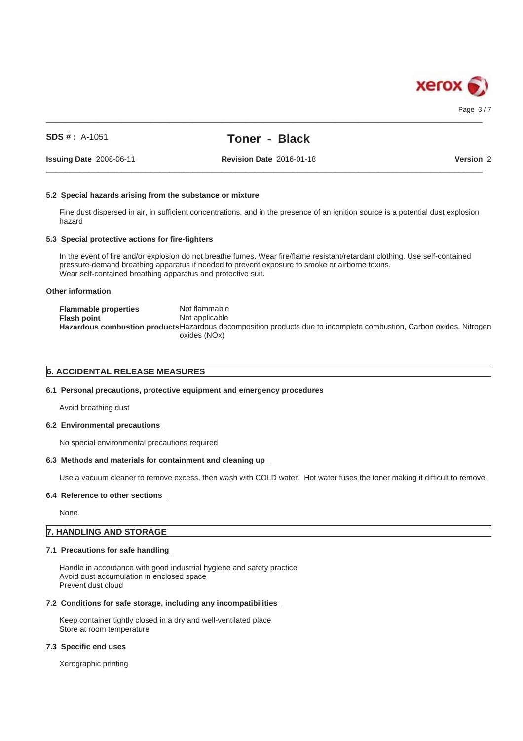

Page 3/7

## **SDS # :** A-1051

# **Toner - Black**

 $\_$  ,  $\_$  ,  $\_$  ,  $\_$  ,  $\_$  ,  $\_$  ,  $\_$  ,  $\_$  ,  $\_$  ,  $\_$  ,  $\_$  ,  $\_$  ,  $\_$  ,  $\_$  ,  $\_$  ,  $\_$  ,  $\_$  ,  $\_$  ,  $\_$  ,  $\_$  ,  $\_$  ,  $\_$  ,  $\_$  ,  $\_$  ,  $\_$  ,  $\_$  ,  $\_$  ,  $\_$  ,  $\_$  ,  $\_$  ,  $\_$  ,  $\_$  ,  $\_$  ,  $\_$  ,  $\_$  ,  $\_$  ,  $\_$  ,

**Issuing Date** 2008-06-11 **Revision Date** 2016-01-18

 $\_$  ,  $\_$  ,  $\_$  ,  $\_$  ,  $\_$  ,  $\_$  ,  $\_$  ,  $\_$  ,  $\_$  ,  $\_$  ,  $\_$  ,  $\_$  ,  $\_$  ,  $\_$  ,  $\_$  ,  $\_$  ,  $\_$  ,  $\_$  ,  $\_$  ,  $\_$  ,  $\_$  ,  $\_$  ,  $\_$  ,  $\_$  ,  $\_$  ,  $\_$  ,  $\_$  ,  $\_$  ,  $\_$  ,  $\_$  ,  $\_$  ,  $\_$  ,  $\_$  ,  $\_$  ,  $\_$  ,  $\_$  ,  $\_$  ,

**Version** 2

#### **5.2 Special hazards arising from the substance or mixture**

Fine dust dispersed in air, in sufficient concentrations, and in the presence of an ignition source is a potential dust explosion hazard

#### **5.3 Special protective actions for fire-fighters**

In the event of fire and/or explosion do not breathe fumes. Wear fire/flame resistant/retardant clothing. Use self-contained pressure-demand breathing apparatus if needed to prevent exposure to smoke or airborne toxins. Wear self-contained breathing apparatus and protective suit.

#### **Other information**

**Flammable properties** Not flammable **Flash point** Not applicable **Hazardous combustion products**Hazardous decomposition products due to incomplete combustion, Carbon oxides, Nitrogen oxides (NOx)

## **6. ACCIDENTAL RELEASE MEASURES**

#### **6.1 Personal precautions, protective equipment and emergency procedures**

Avoid breathing dust

#### **6.2 Environmental precautions**

No special environmental precautions required

#### **6.3 Methods and materials for containment and cleaning up**

Use a vacuum cleaner to remove excess, then wash with COLD water. Hot water fuses the toner making it difficult to remove.

#### **6.4 Reference to other sections**

**None** 

## **7. HANDLING AND STORAGE**

#### **7.1 Precautions for safe handling**

Handle in accordance with good industrial hygiene and safety practice Avoid dust accumulation in enclosed space Prevent dust cloud

#### **7.2 Conditions for safe storage, including any incompatibilities**

Keep container tightly closed in a dry and well-ventilated place Store at room temperature

#### **7.3 Specific end uses**

Xerographic printing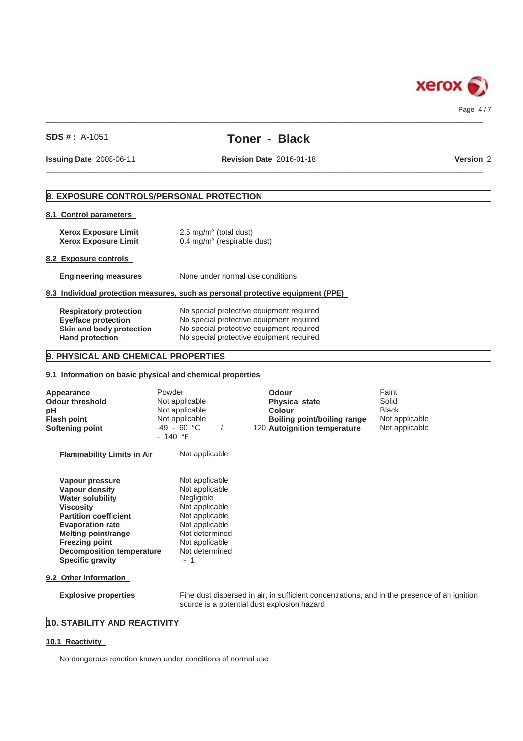

 $\_$  ,  $\_$  ,  $\_$  ,  $\_$  ,  $\_$  ,  $\_$  ,  $\_$  ,  $\_$  ,  $\_$  ,  $\_$  ,  $\_$  ,  $\_$  ,  $\_$  ,  $\_$  ,  $\_$  ,  $\_$  ,  $\_$  ,  $\_$  ,  $\_$  ,  $\_$  ,  $\_$  ,  $\_$  ,  $\_$  ,  $\_$  ,  $\_$  ,  $\_$  ,  $\_$  ,  $\_$  ,  $\_$  ,  $\_$  ,  $\_$  ,  $\_$  ,  $\_$  ,  $\_$  ,  $\_$  ,  $\_$  ,  $\_$  , Page 4 / 7

## **SDS # :** A-1051

# **Toner - Black**

**Issuing Date** 2008-06-11

 $\_$  ,  $\_$  ,  $\_$  ,  $\_$  ,  $\_$  ,  $\_$  ,  $\_$  ,  $\_$  ,  $\_$  ,  $\_$  ,  $\_$  ,  $\_$  ,  $\_$  ,  $\_$  ,  $\_$  ,  $\_$  ,  $\_$  ,  $\_$  ,  $\_$  ,  $\_$  ,  $\_$  ,  $\_$  ,  $\_$  ,  $\_$  ,  $\_$  ,  $\_$  ,  $\_$  ,  $\_$  ,  $\_$  ,  $\_$  ,  $\_$  ,  $\_$  ,  $\_$  ,  $\_$  ,  $\_$  ,  $\_$  ,  $\_$  , **Revision Date** 2016-01-18

**Version** 2

## **8. EXPOSURE CONTROLS/PERSONAL PROTECTION**

### **8.1 Control parameters**

| Xerox Exposure Limit | $2.5 \text{ mg/m}^3$ (total dust) |
|----------------------|-----------------------------------|
| Xerox Exposure Limit | 0.4 mg/m $3$ (respirable dust)    |

#### **8.2 Exposure controls**

**Engineering measures** None under normal use conditions

## **8.3 Individual protection measures, such as personal protective equipment (PPE)**

| <b>Respiratory protection</b> | No special protective equipment required |
|-------------------------------|------------------------------------------|
| Eye/face protection           | No special protective equipment required |
| Skin and body protection      | No special protective equipment required |
| <b>Hand protection</b>        | No special protective equipment required |

## **9. PHYSICAL AND CHEMICAL PROPERTIES**

#### **9.1 Information on basic physical and chemical properties**

| Appearance<br><b>Odour threshold</b><br>pН<br><b>Flash point</b><br>Softening point                                                                                                                                                                        | Powder<br>Not applicable<br>Not applicable<br>Not applicable<br>49 - 60 °C<br>$-140$ °F                                                                                | <b>Odour</b><br><b>Physical state</b><br>Colour<br>Boiling point/boiling range<br>120 Autoignition temperature | Faint<br>Solid<br><b>Black</b><br>Not applicable<br>Not applicable |
|------------------------------------------------------------------------------------------------------------------------------------------------------------------------------------------------------------------------------------------------------------|------------------------------------------------------------------------------------------------------------------------------------------------------------------------|----------------------------------------------------------------------------------------------------------------|--------------------------------------------------------------------|
| <b>Flammability Limits in Air</b>                                                                                                                                                                                                                          | Not applicable                                                                                                                                                         |                                                                                                                |                                                                    |
| Vapour pressure<br>Vapour density<br><b>Water solubility</b><br><b>Viscosity</b><br><b>Partition coefficient</b><br><b>Evaporation rate</b><br>Melting point/range<br><b>Freezing point</b><br><b>Decomposition temperature</b><br><b>Specific gravity</b> | Not applicable<br>Not applicable<br>Negligible<br>Not applicable<br>Not applicable<br>Not applicable<br>Not determined<br>Not applicable<br>Not determined<br>$\sim$ 1 |                                                                                                                |                                                                    |
| 9.2 Other information                                                                                                                                                                                                                                      |                                                                                                                                                                        |                                                                                                                |                                                                    |
| <b>Explosive properties</b>                                                                                                                                                                                                                                | source is a potential dust explosion hazard                                                                                                                            | Fine dust dispersed in air, in sufficient concentrations, and in the presence of an ignition                   |                                                                    |

## **10. STABILITY AND REACTIVITY**

## **10.1 Reactivity**

No dangerous reaction known under conditions of normal use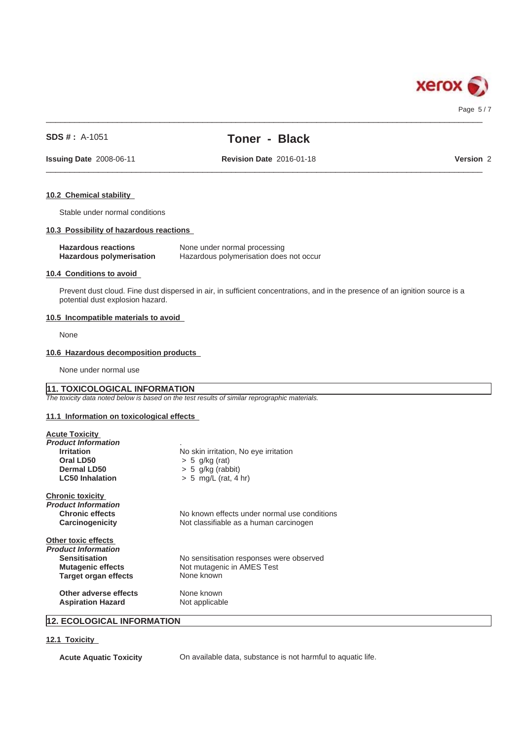

**SDS # :** A-1051

## **Toner - Black**

 $\_$  ,  $\_$  ,  $\_$  ,  $\_$  ,  $\_$  ,  $\_$  ,  $\_$  ,  $\_$  ,  $\_$  ,  $\_$  ,  $\_$  ,  $\_$  ,  $\_$  ,  $\_$  ,  $\_$  ,  $\_$  ,  $\_$  ,  $\_$  ,  $\_$  ,  $\_$  ,  $\_$  ,  $\_$  ,  $\_$  ,  $\_$  ,  $\_$  ,  $\_$  ,  $\_$  ,  $\_$  ,  $\_$  ,  $\_$  ,  $\_$  ,  $\_$  ,  $\_$  ,  $\_$  ,  $\_$  ,  $\_$  ,  $\_$  ,

**Issuing Date** 2008-06-11 **Revision Date** 2016-01-18

# $\_$  ,  $\_$  ,  $\_$  ,  $\_$  ,  $\_$  ,  $\_$  ,  $\_$  ,  $\_$  ,  $\_$  ,  $\_$  ,  $\_$  ,  $\_$  ,  $\_$  ,  $\_$  ,  $\_$  ,  $\_$  ,  $\_$  ,  $\_$  ,  $\_$  ,  $\_$  ,  $\_$  ,  $\_$  ,  $\_$  ,  $\_$  ,  $\_$  ,  $\_$  ,  $\_$  ,  $\_$  ,  $\_$  ,  $\_$  ,  $\_$  ,  $\_$  ,  $\_$  ,  $\_$  ,  $\_$  ,  $\_$  ,  $\_$  ,

**Version** 2

#### **10.2 Chemical stability**

Stable under normal conditions

## **10.3 Possibility of hazardous reactions**

| <b>Hazardous reactions</b>      | None under normal processing            |
|---------------------------------|-----------------------------------------|
| <b>Hazardous polymerisation</b> | Hazardous polymerisation does not occur |

## **10.4 Conditions to avoid**

Prevent dust cloud. Fine dust dispersed in air, in sufficient concentrations, and in the presence of an ignition source is a potential dust explosion hazard.

#### **10.5 Incompatible materials to avoid**

None

## **10.6 Hazardous decomposition products**

None under normal use

#### **11. TOXICOLOGICAL INFORMATION** *The toxicity data noted below is based on the test results of similar reprographic materials.*

## **11.1 Information on toxicological effects**

| <b>Acute Toxicity</b><br><b>Product Information</b><br><b>Irritation</b><br>Oral LD50<br>Dermal LD50<br><b>LC50 Inhalation</b>                                                            | No skin irritation, No eye irritation<br>$> 5$ g/kg (rat)<br>$> 5$ g/kg (rabbit)<br>$> 5$ mg/L (rat, 4 hr)           |
|-------------------------------------------------------------------------------------------------------------------------------------------------------------------------------------------|----------------------------------------------------------------------------------------------------------------------|
| <b>Chronic toxicity</b><br><b>Product Information</b><br><b>Chronic effects</b><br>Carcinogenicity                                                                                        | No known effects under normal use conditions<br>Not classifiable as a human carcinogen                               |
| Other toxic effects<br><b>Product Information</b><br><b>Sensitisation</b><br><b>Mutagenic effects</b><br><b>Target organ effects</b><br>Other adverse effects<br><b>Aspiration Hazard</b> | No sensitisation responses were observed<br>Not mutagenic in AMES Test<br>None known<br>None known<br>Not applicable |

## **12. ECOLOGICAL INFORMATION**

## **12.1 Toxicity**

**Acute Aquatic Toxicity** On available data, substance is not harmful to aquatic life.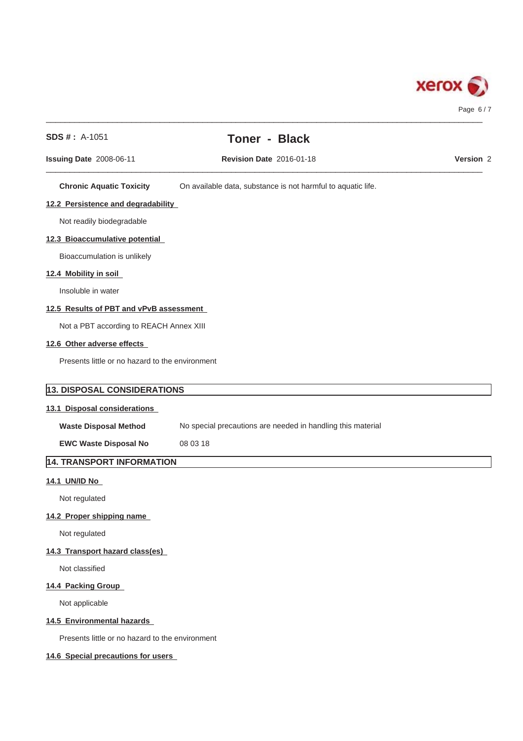

| <b>Issuing Date 2008-06-11</b><br><b>Revision Date 2016-01-18</b><br>On available data, substance is not harmful to aquatic life.<br><b>Chronic Aquatic Toxicity</b><br>12.2 Persistence and degradability<br>Not readily biodegradable<br>12.3 Bioaccumulative potential<br>Bioaccumulation is unlikely<br>12.4 Mobility in soil<br>Insoluble in water<br>12.5 Results of PBT and vPvB assessment<br>Not a PBT according to REACH Annex XIII<br>12.6 Other adverse effects<br>Presents little or no hazard to the environment<br>13. DISPOSAL CONSIDERATIONS<br>13.1 Disposal considerations<br>No special precautions are needed in handling this material<br><b>Waste Disposal Method</b><br>08 03 18<br><b>EWC Waste Disposal No</b><br>14. TRANSPORT INFORMATION<br>14.1 UN/ID No<br>Not regulated<br>14.2 Proper shipping name<br>Not regulated<br>14.3 Transport hazard class(es) |                      |
|------------------------------------------------------------------------------------------------------------------------------------------------------------------------------------------------------------------------------------------------------------------------------------------------------------------------------------------------------------------------------------------------------------------------------------------------------------------------------------------------------------------------------------------------------------------------------------------------------------------------------------------------------------------------------------------------------------------------------------------------------------------------------------------------------------------------------------------------------------------------------------------|----------------------|
|                                                                                                                                                                                                                                                                                                                                                                                                                                                                                                                                                                                                                                                                                                                                                                                                                                                                                          | Version <sub>2</sub> |
|                                                                                                                                                                                                                                                                                                                                                                                                                                                                                                                                                                                                                                                                                                                                                                                                                                                                                          |                      |
|                                                                                                                                                                                                                                                                                                                                                                                                                                                                                                                                                                                                                                                                                                                                                                                                                                                                                          |                      |
|                                                                                                                                                                                                                                                                                                                                                                                                                                                                                                                                                                                                                                                                                                                                                                                                                                                                                          |                      |
|                                                                                                                                                                                                                                                                                                                                                                                                                                                                                                                                                                                                                                                                                                                                                                                                                                                                                          |                      |
|                                                                                                                                                                                                                                                                                                                                                                                                                                                                                                                                                                                                                                                                                                                                                                                                                                                                                          |                      |
|                                                                                                                                                                                                                                                                                                                                                                                                                                                                                                                                                                                                                                                                                                                                                                                                                                                                                          |                      |
|                                                                                                                                                                                                                                                                                                                                                                                                                                                                                                                                                                                                                                                                                                                                                                                                                                                                                          |                      |
|                                                                                                                                                                                                                                                                                                                                                                                                                                                                                                                                                                                                                                                                                                                                                                                                                                                                                          |                      |
|                                                                                                                                                                                                                                                                                                                                                                                                                                                                                                                                                                                                                                                                                                                                                                                                                                                                                          |                      |
|                                                                                                                                                                                                                                                                                                                                                                                                                                                                                                                                                                                                                                                                                                                                                                                                                                                                                          |                      |
|                                                                                                                                                                                                                                                                                                                                                                                                                                                                                                                                                                                                                                                                                                                                                                                                                                                                                          |                      |
|                                                                                                                                                                                                                                                                                                                                                                                                                                                                                                                                                                                                                                                                                                                                                                                                                                                                                          |                      |
|                                                                                                                                                                                                                                                                                                                                                                                                                                                                                                                                                                                                                                                                                                                                                                                                                                                                                          |                      |
|                                                                                                                                                                                                                                                                                                                                                                                                                                                                                                                                                                                                                                                                                                                                                                                                                                                                                          |                      |
|                                                                                                                                                                                                                                                                                                                                                                                                                                                                                                                                                                                                                                                                                                                                                                                                                                                                                          |                      |
|                                                                                                                                                                                                                                                                                                                                                                                                                                                                                                                                                                                                                                                                                                                                                                                                                                                                                          |                      |
|                                                                                                                                                                                                                                                                                                                                                                                                                                                                                                                                                                                                                                                                                                                                                                                                                                                                                          |                      |
|                                                                                                                                                                                                                                                                                                                                                                                                                                                                                                                                                                                                                                                                                                                                                                                                                                                                                          |                      |
|                                                                                                                                                                                                                                                                                                                                                                                                                                                                                                                                                                                                                                                                                                                                                                                                                                                                                          |                      |
|                                                                                                                                                                                                                                                                                                                                                                                                                                                                                                                                                                                                                                                                                                                                                                                                                                                                                          |                      |
|                                                                                                                                                                                                                                                                                                                                                                                                                                                                                                                                                                                                                                                                                                                                                                                                                                                                                          |                      |
| Not classified                                                                                                                                                                                                                                                                                                                                                                                                                                                                                                                                                                                                                                                                                                                                                                                                                                                                           |                      |
| 14.4 Packing Group                                                                                                                                                                                                                                                                                                                                                                                                                                                                                                                                                                                                                                                                                                                                                                                                                                                                       |                      |
| Not applicable                                                                                                                                                                                                                                                                                                                                                                                                                                                                                                                                                                                                                                                                                                                                                                                                                                                                           |                      |
| 14.5 Environmental hazards                                                                                                                                                                                                                                                                                                                                                                                                                                                                                                                                                                                                                                                                                                                                                                                                                                                               |                      |
| Presents little or no hazard to the environment                                                                                                                                                                                                                                                                                                                                                                                                                                                                                                                                                                                                                                                                                                                                                                                                                                          |                      |